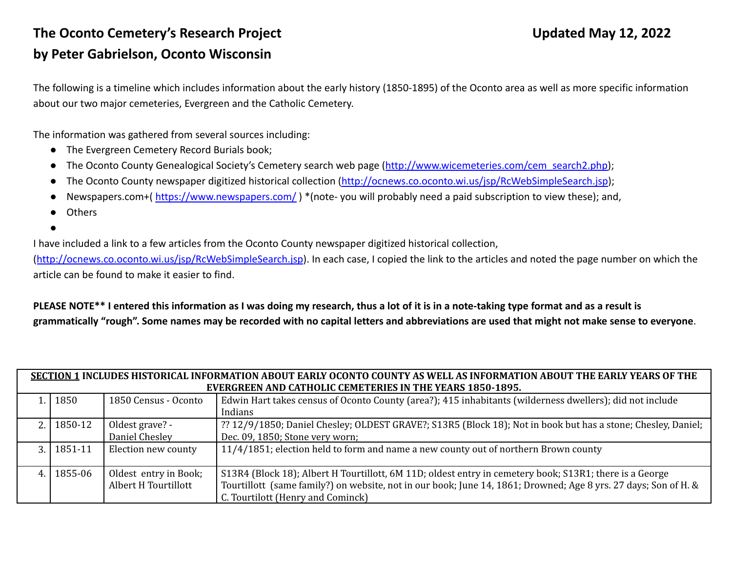## **The Oconto Cemetery's Research Project Updated May 12, 2022 by Peter Gabrielson, Oconto Wisconsin**

The following is a timeline which includes information about the early history (1850-1895) of the Oconto area as well as more specific information about our two major cemeteries, Evergreen and the Catholic Cemetery.

The information was gathered from several sources including:

- The Evergreen Cemetery Record Burials book;
- The Oconto County Genealogical Society's Cemetery search web page ([http://www.wicemeteries.com/cem\\_search2.php\)](http://www.wicemeteries.com/cem_search2.php);
- The Oconto County newspaper digitized historical collection [\(http://ocnews.co.oconto.wi.us/jsp/RcWebSimpleSearch.jsp\)](http://ocnews.co.oconto.wi.us/jsp/RcWebSimpleSearch.jsp);
- Newspapers.com+( $https://www.newspapers.com/$ ) \*(note- you will probably need a paid subscription to view these); and,
- **Others**
- ●

I have included a link to a few articles from the Oconto County newspaper digitized historical collection,

(<http://ocnews.co.oconto.wi.us/jsp/RcWebSimpleSearch.jsp>). In each case, I copied the link to the articles and noted the page number on which the article can be found to make it easier to find.

**PLEASE NOTE\*\* I entered this information as I was doing my research, thus a lot of it is in a note-taking type format and as a result is grammatically "rough". Some names may be recorded with no capital letters and abbreviations are used that might not make sense to everyone**.

| SECTION 1 INCLUDES HISTORICAL INFORMATION ABOUT EARLY OCONTO COUNTY AS WELL AS INFORMATION ABOUT THE EARLY YEARS OF THE<br><b>EVERGREEN AND CATHOLIC CEMETERIES IN THE YEARS 1850-1895.</b> |         |                                               |                                                                                                                                                                                                                                                                 |  |  |
|---------------------------------------------------------------------------------------------------------------------------------------------------------------------------------------------|---------|-----------------------------------------------|-----------------------------------------------------------------------------------------------------------------------------------------------------------------------------------------------------------------------------------------------------------------|--|--|
|                                                                                                                                                                                             | 1850    | 1850 Census - Oconto                          | Edwin Hart takes census of Oconto County (area?); 415 inhabitants (wilderness dwellers); did not include<br>Indians                                                                                                                                             |  |  |
|                                                                                                                                                                                             | 1850-12 | Oldest grave? -<br>Daniel Chesley             | ?? 12/9/1850; Daniel Chesley; OLDEST GRAVE?; S13R5 (Block 18); Not in book but has a stone; Chesley, Daniel;<br>Dec. 09, 1850; Stone very worn;                                                                                                                 |  |  |
|                                                                                                                                                                                             | 1851-11 | Election new county                           | 11/4/1851; election held to form and name a new county out of northern Brown county                                                                                                                                                                             |  |  |
|                                                                                                                                                                                             | 1855-06 | Oldest entry in Book;<br>Albert H Tourtillott | S13R4 (Block 18); Albert H Tourtillott, 6M 11D; oldest entry in cemetery book; S13R1; there is a George<br>Tourtillott (same family?) on website, not in our book; June 14, 1861; Drowned; Age 8 yrs. 27 days; Son of H. &<br>C. Tourtilott (Henry and Cominck) |  |  |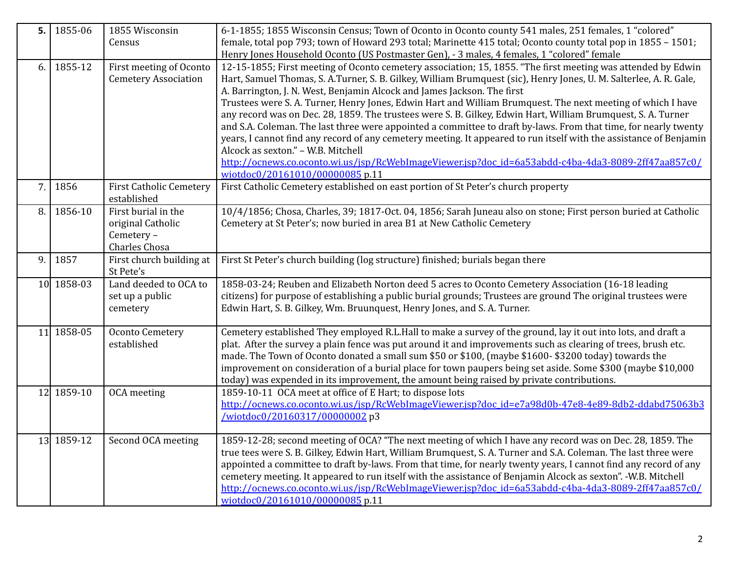| 5. | 1855-06    | 1855 Wisconsin<br>Census                               | 6-1-1855; 1855 Wisconsin Census; Town of Oconto in Oconto county 541 males, 251 females, 1 "colored"<br>female, total pop 793; town of Howard 293 total; Marinette 415 total; Oconto county total pop in 1855 - 1501;              |
|----|------------|--------------------------------------------------------|------------------------------------------------------------------------------------------------------------------------------------------------------------------------------------------------------------------------------------|
|    |            |                                                        | Henry Jones Household Oconto (US Postmaster Gen), - 3 males, 4 females, 1 "colored" female                                                                                                                                         |
| 6. | 1855-12    | First meeting of Oconto<br><b>Cemetery Association</b> | 12-15-1855; First meeting of Oconto cemetery association; 15, 1855. "The first meeting was attended by Edwin<br>Hart, Samuel Thomas, S. A.Turner, S. B. Gilkey, William Brumquest (sic), Henry Jones, U. M. Salterlee, A. R. Gale, |
|    |            |                                                        | A. Barrington, J. N. West, Benjamin Alcock and James Jackson. The first<br>Trustees were S. A. Turner, Henry Jones, Edwin Hart and William Brumquest. The next meeting of which I have                                             |
|    |            |                                                        | any record was on Dec. 28, 1859. The trustees were S. B. Gilkey, Edwin Hart, William Brumquest, S. A. Turner                                                                                                                       |
|    |            |                                                        | and S.A. Coleman. The last three were appointed a committee to draft by-laws. From that time, for nearly twenty                                                                                                                    |
|    |            |                                                        | years, I cannot find any record of any cemetery meeting. It appeared to run itself with the assistance of Benjamin                                                                                                                 |
|    |            |                                                        | Alcock as sexton." - W.B. Mitchell                                                                                                                                                                                                 |
|    |            |                                                        | http://ocnews.co.oconto.wi.us/jsp/RcWebImageViewer.jsp?doc_id=6a53abdd-c4ba-4da3-8089-2ff47aa857c0/<br>wiotdoc0/20161010/00000085 p.11                                                                                             |
| 7. | 1856       | <b>First Catholic Cemetery</b>                         | First Catholic Cemetery established on east portion of St Peter's church property                                                                                                                                                  |
|    |            | established                                            |                                                                                                                                                                                                                                    |
| 8. | 1856-10    | First burial in the                                    | 10/4/1856; Chosa, Charles, 39; 1817-Oct. 04, 1856; Sarah Juneau also on stone; First person buried at Catholic                                                                                                                     |
|    |            | original Catholic                                      | Cemetery at St Peter's; now buried in area B1 at New Catholic Cemetery                                                                                                                                                             |
|    |            | Cemetery -                                             |                                                                                                                                                                                                                                    |
| 9. | 1857       | Charles Chosa<br>First church building at              | First St Peter's church building (log structure) finished; burials began there                                                                                                                                                     |
|    |            | St Pete's                                              |                                                                                                                                                                                                                                    |
|    | 10 1858-03 | Land deeded to OCA to                                  | 1858-03-24; Reuben and Elizabeth Norton deed 5 acres to Oconto Cemetery Association (16-18 leading                                                                                                                                 |
|    |            | set up a public                                        | citizens) for purpose of establishing a public burial grounds; Trustees are ground The original trustees were                                                                                                                      |
|    |            | cemetery                                               | Edwin Hart, S. B. Gilkey, Wm. Bruunquest, Henry Jones, and S. A. Turner.                                                                                                                                                           |
|    | 11 1858-05 | <b>Oconto Cemetery</b>                                 | Cemetery established They employed R.L.Hall to make a survey of the ground, lay it out into lots, and draft a                                                                                                                      |
|    |            | established                                            | plat. After the survey a plain fence was put around it and improvements such as clearing of trees, brush etc.                                                                                                                      |
|    |            |                                                        | made. The Town of Oconto donated a small sum \$50 or \$100, (maybe \$1600- \$3200 today) towards the                                                                                                                               |
|    |            |                                                        | improvement on consideration of a burial place for town paupers being set aside. Some \$300 (maybe \$10,000                                                                                                                        |
|    |            |                                                        | today) was expended in its improvement, the amount being raised by private contributions.                                                                                                                                          |
|    | 12 1859-10 | OCA meeting                                            | 1859-10-11 OCA meet at office of E Hart; to dispose lots                                                                                                                                                                           |
|    |            |                                                        | http://ocnews.co.oconto.wi.us/jsp/RcWebImageViewer.jsp?doc_id=e7a98d0b-47e8-4e89-8db2-ddabd75063b3<br>/wiotdoc0/20160317/00000002 p3                                                                                               |
|    |            |                                                        |                                                                                                                                                                                                                                    |
|    | 13 1859-12 | Second OCA meeting                                     | 1859-12-28; second meeting of OCA? "The next meeting of which I have any record was on Dec. 28, 1859. The                                                                                                                          |
|    |            |                                                        | true tees were S. B. Gilkey, Edwin Hart, William Brumquest, S. A. Turner and S.A. Coleman. The last three were                                                                                                                     |
|    |            |                                                        | appointed a committee to draft by-laws. From that time, for nearly twenty years, I cannot find any record of any                                                                                                                   |
|    |            |                                                        | cemetery meeting. It appeared to run itself with the assistance of Benjamin Alcock as sexton". -W.B. Mitchell                                                                                                                      |
|    |            |                                                        | http://ocnews.co.oconto.wi.us/jsp/RcWebImageViewer.jsp?doc_id=6a53abdd-c4ba-4da3-8089-2ff47aa857c0/<br>wiotdoc0/20161010/00000085 p.11                                                                                             |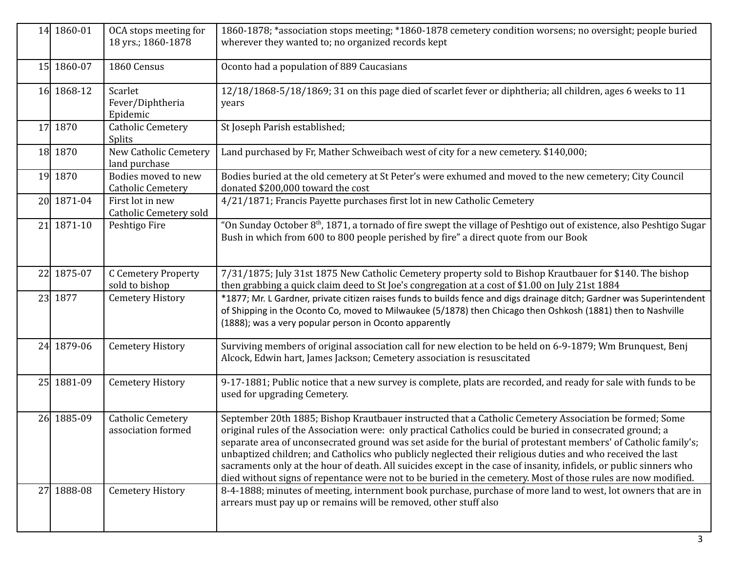| 14 1860-01 | OCA stops meeting for<br>18 yrs.; 1860-1878     | 1860-1878; *association stops meeting; *1860-1878 cemetery condition worsens; no oversight; people buried<br>wherever they wanted to; no organized records kept                                                                                                                                                                                                                                                                                                                                                                                                                                                                                                                             |
|------------|-------------------------------------------------|---------------------------------------------------------------------------------------------------------------------------------------------------------------------------------------------------------------------------------------------------------------------------------------------------------------------------------------------------------------------------------------------------------------------------------------------------------------------------------------------------------------------------------------------------------------------------------------------------------------------------------------------------------------------------------------------|
| 15 1860-07 | 1860 Census                                     | Oconto had a population of 889 Caucasians                                                                                                                                                                                                                                                                                                                                                                                                                                                                                                                                                                                                                                                   |
| 16 1868-12 | Scarlet<br>Fever/Diphtheria<br>Epidemic         | 12/18/1868-5/18/1869; 31 on this page died of scarlet fever or diphtheria; all children, ages 6 weeks to 11<br>years                                                                                                                                                                                                                                                                                                                                                                                                                                                                                                                                                                        |
| 17 1870    | <b>Catholic Cemetery</b><br><b>Splits</b>       | St Joseph Parish established;                                                                                                                                                                                                                                                                                                                                                                                                                                                                                                                                                                                                                                                               |
| 18 1870    | New Catholic Cemetery<br>land purchase          | Land purchased by Fr, Mather Schweibach west of city for a new cemetery. \$140,000;                                                                                                                                                                                                                                                                                                                                                                                                                                                                                                                                                                                                         |
| 19 1870    | Bodies moved to new<br><b>Catholic Cemetery</b> | Bodies buried at the old cemetery at St Peter's were exhumed and moved to the new cemetery; City Council<br>donated \$200,000 toward the cost                                                                                                                                                                                                                                                                                                                                                                                                                                                                                                                                               |
| 20 1871-04 | First lot in new<br>Catholic Cemetery sold      | 4/21/1871; Francis Payette purchases first lot in new Catholic Cemetery                                                                                                                                                                                                                                                                                                                                                                                                                                                                                                                                                                                                                     |
| 21 1871-10 | Peshtigo Fire                                   | "On Sunday October 8 <sup>th</sup> , 1871, a tornado of fire swept the village of Peshtigo out of existence, also Peshtigo Sugar<br>Bush in which from 600 to 800 people perished by fire" a direct quote from our Book                                                                                                                                                                                                                                                                                                                                                                                                                                                                     |
| 22 1875-07 | <b>C</b> Cemetery Property<br>sold to bishop    | 7/31/1875; July 31st 1875 New Catholic Cemetery property sold to Bishop Krautbauer for \$140. The bishop<br>then grabbing a quick claim deed to St Joe's congregation at a cost of \$1.00 on July 21st 1884                                                                                                                                                                                                                                                                                                                                                                                                                                                                                 |
| 23 1877    | <b>Cemetery History</b>                         | *1877; Mr. L Gardner, private citizen raises funds to builds fence and digs drainage ditch; Gardner was Superintendent<br>of Shipping in the Oconto Co, moved to Milwaukee (5/1878) then Chicago then Oshkosh (1881) then to Nashville<br>(1888); was a very popular person in Oconto apparently                                                                                                                                                                                                                                                                                                                                                                                            |
| 24 1879-06 | <b>Cemetery History</b>                         | Surviving members of original association call for new election to be held on 6-9-1879; Wm Brunquest, Benj<br>Alcock, Edwin hart, James Jackson; Cemetery association is resuscitated                                                                                                                                                                                                                                                                                                                                                                                                                                                                                                       |
| 25 1881-09 | <b>Cemetery History</b>                         | 9-17-1881; Public notice that a new survey is complete, plats are recorded, and ready for sale with funds to be<br>used for upgrading Cemetery.                                                                                                                                                                                                                                                                                                                                                                                                                                                                                                                                             |
| 26 1885-09 | <b>Catholic Cemetery</b><br>association formed  | September 20th 1885; Bishop Krautbauer instructed that a Catholic Cemetery Association be formed; Some<br>original rules of the Association were: only practical Catholics could be buried in consecrated ground; a<br>separate area of unconsecrated ground was set aside for the burial of protestant members' of Catholic family's;<br>unbaptized children; and Catholics who publicly neglected their religious duties and who received the last<br>sacraments only at the hour of death. All suicides except in the case of insanity, infidels, or public sinners who<br>died without signs of repentance were not to be buried in the cemetery. Most of those rules are now modified. |
| 27 1888-08 | <b>Cemetery History</b>                         | 8-4-1888; minutes of meeting, internment book purchase, purchase of more land to west, lot owners that are in<br>arrears must pay up or remains will be removed, other stuff also                                                                                                                                                                                                                                                                                                                                                                                                                                                                                                           |